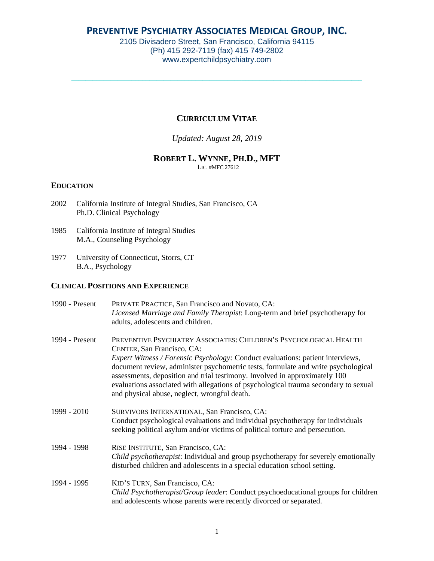# **PREVENTIVE PSYCHIATRY ASSOCIATES MEDICAL GROUP, INC.**

2105 Divisadero Street, San Francisco, California 94115 (Ph) 415 292-7119 (fax) 415 749-2802 www.expertchildpsychiatry.com

\_\_\_\_\_\_\_\_\_\_\_\_\_\_\_\_\_\_\_\_\_\_\_\_\_\_\_\_\_\_\_\_\_\_\_\_\_\_\_\_\_\_\_\_\_\_\_\_\_\_\_\_\_\_\_\_\_\_\_\_\_\_\_\_\_\_\_\_\_\_\_\_\_\_\_\_\_\_\_\_\_\_

## **CURRICULUM VITAE**

### *Updated: August 28, 2019*

## **ROBERT L. WYNNE, PH.D., MFT**

LIC. #MFC 27612

#### **EDUCATION**

- 2002 California Institute of Integral Studies, San Francisco, CA Ph.D. Clinical Psychology
- 1985 California Institute of Integral Studies M.A., Counseling Psychology
- 1977 University of Connecticut, Storrs, CT B.A., Psychology

## **CLINICAL POSITIONS AND EXPERIENCE**

| 1990 - Present | PRIVATE PRACTICE, San Francisco and Novato, CA:<br>Licensed Marriage and Family Therapist: Long-term and brief psychotherapy for<br>adults, adolescents and children.                                                                                                                                                                                                                                                                                                                              |
|----------------|----------------------------------------------------------------------------------------------------------------------------------------------------------------------------------------------------------------------------------------------------------------------------------------------------------------------------------------------------------------------------------------------------------------------------------------------------------------------------------------------------|
| 1994 - Present | PREVENTIVE PSYCHIATRY ASSOCIATES: CHILDREN'S PSYCHOLOGICAL HEALTH<br>CENTER, San Francisco, CA:<br><i>Expert Witness / Forensic Psychology:</i> Conduct evaluations: patient interviews,<br>document review, administer psychometric tests, formulate and write psychological<br>assessments, deposition and trial testimony. Involved in approximately 100<br>evaluations associated with allegations of psychological trauma secondary to sexual<br>and physical abuse, neglect, wrongful death. |
| 1999 - 2010    | SURVIVORS INTERNATIONAL, San Francisco, CA:<br>Conduct psychological evaluations and individual psychotherapy for individuals<br>seeking political asylum and/or victims of political torture and persecution.                                                                                                                                                                                                                                                                                     |
| 1994 - 1998    | RISE INSTITUTE, San Francisco, CA:<br>Child psychotherapist: Individual and group psychotherapy for severely emotionally<br>disturbed children and adolescents in a special education school setting.                                                                                                                                                                                                                                                                                              |
| 1994 - 1995    | KID'S TURN, San Francisco, CA:<br><i>Child Psychotherapist/Group leader:</i> Conduct psychoeducational groups for children<br>and adolescents whose parents were recently divorced or separated.                                                                                                                                                                                                                                                                                                   |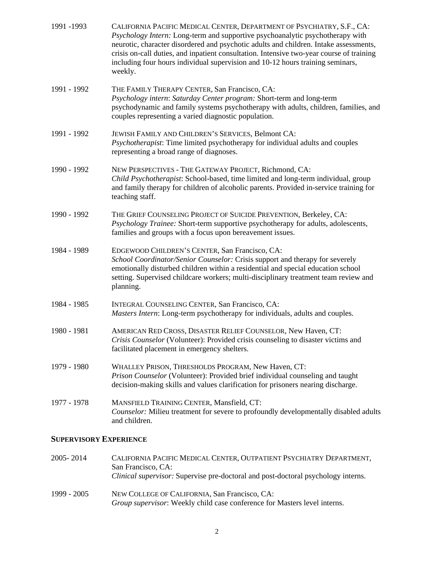| 1991 -1993  | CALIFORNIA PACIFIC MEDICAL CENTER, DEPARTMENT OF PSYCHIATRY, S.F., CA:<br>Psychology Intern: Long-term and supportive psychoanalytic psychotherapy with<br>neurotic, character disordered and psychotic adults and children. Intake assessments,<br>crisis on-call duties, and inpatient consultation. Intensive two-year course of training<br>including four hours individual supervision and 10-12 hours training seminars,<br>weekly. |
|-------------|-------------------------------------------------------------------------------------------------------------------------------------------------------------------------------------------------------------------------------------------------------------------------------------------------------------------------------------------------------------------------------------------------------------------------------------------|
| 1991 - 1992 | THE FAMILY THERAPY CENTER, San Francisco, CA:<br>Psychology intern: Saturday Center program: Short-term and long-term<br>psychodynamic and family systems psychotherapy with adults, children, families, and<br>couples representing a varied diagnostic population.                                                                                                                                                                      |
| 1991 - 1992 | JEWISH FAMILY AND CHILDREN'S SERVICES, Belmont CA:<br>Psychotherapist: Time limited psychotherapy for individual adults and couples<br>representing a broad range of diagnoses.                                                                                                                                                                                                                                                           |
| 1990 - 1992 | NEW PERSPECTIVES - THE GATEWAY PROJECT, Richmond, CA:<br>Child Psychotherapist: School-based, time limited and long-term individual, group<br>and family therapy for children of alcoholic parents. Provided in-service training for<br>teaching staff.                                                                                                                                                                                   |
| 1990 - 1992 | THE GRIEF COUNSELING PROJECT OF SUICIDE PREVENTION, Berkeley, CA:<br>Psychology Trainee: Short-term supportive psychotherapy for adults, adolescents,<br>families and groups with a focus upon bereavement issues.                                                                                                                                                                                                                        |
| 1984 - 1989 | EDGEWOOD CHILDREN'S CENTER, San Francisco, CA:<br>School Coordinator/Senior Counselor: Crisis support and therapy for severely<br>emotionally disturbed children within a residential and special education school<br>setting. Supervised childcare workers; multi-disciplinary treatment team review and<br>planning.                                                                                                                    |
| 1984 - 1985 | INTEGRAL COUNSELING CENTER, San Francisco, CA:<br>Masters Intern: Long-term psychotherapy for individuals, adults and couples.                                                                                                                                                                                                                                                                                                            |
| 1980 - 1981 | AMERICAN RED CROSS, DISASTER RELIEF COUNSELOR, New Haven, CT:<br>Crisis Counselor (Volunteer): Provided crisis counseling to disaster victims and<br>facilitated placement in emergency shelters.                                                                                                                                                                                                                                         |
| 1979 - 1980 | WHALLEY PRISON, THRESHOLDS PROGRAM, New Haven, CT:<br>Prison Counselor (Volunteer): Provided brief individual counseling and taught<br>decision-making skills and values clarification for prisoners nearing discharge.                                                                                                                                                                                                                   |
| 1977 - 1978 | MANSFIELD TRAINING CENTER, Mansfield, CT:<br>Counselor: Milieu treatment for severe to profoundly developmentally disabled adults<br>and children.                                                                                                                                                                                                                                                                                        |

# **SUPERVISORY EXPERIENCE**

| 2005-2014   | CALIFORNIA PACIFIC MEDICAL CENTER, OUTPATIENT PSYCHIATRY DEPARTMENT,<br>San Francisco, CA:<br><i>Clinical supervisor:</i> Supervise pre-doctoral and post-doctoral psychology interns. |
|-------------|----------------------------------------------------------------------------------------------------------------------------------------------------------------------------------------|
| 1999 - 2005 | NEW COLLEGE OF CALIFORNIA, San Francisco, CA:<br><i>Group supervisor</i> : Weekly child case conference for Masters level interns.                                                     |